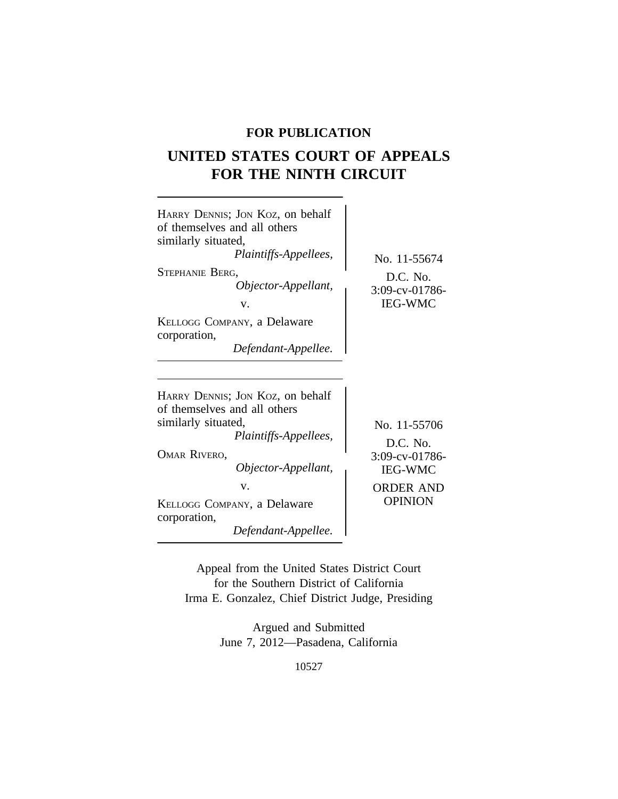## **FOR PUBLICATION**

# **UNITED STATES COURT OF APPEALS FOR THE NINTH CIRCUIT**

 $\overline{\phantom{a}}$ 

| HARRY DENNIS; JON KOZ, on behalf<br>of themselves and all others<br>similarly situated,<br>Plaintiffs-Appellees,<br>STEPHANIE BERG,<br>Objector-Appellant,<br>v.<br>KELLOGG COMPANY, a Delaware<br>corporation,<br>Defendant-Appellee. | No. 11-55674<br>D.C. No.<br>3:09-cv-01786-<br><b>IEG-WMC</b>                                |
|----------------------------------------------------------------------------------------------------------------------------------------------------------------------------------------------------------------------------------------|---------------------------------------------------------------------------------------------|
| HARRY DENNIS; JON KOZ, on behalf<br>of themselves and all others<br>similarly situated,<br>Plaintiffs-Appellees,<br>OMAR RIVERO,<br>Objector-Appellant,<br>V.<br>KELLOGG COMPANY, a Delaware<br>corporation,<br>Defendant-Appellee.    | No. 11-55706<br>D.C. No.<br>3:09-cv-01786-<br><b>IEG-WMC</b><br><b>ORDER AND</b><br>OPINION |

Appeal from the United States District Court for the Southern District of California Irma E. Gonzalez, Chief District Judge, Presiding

> Argued and Submitted June 7, 2012—Pasadena, California

> > 10527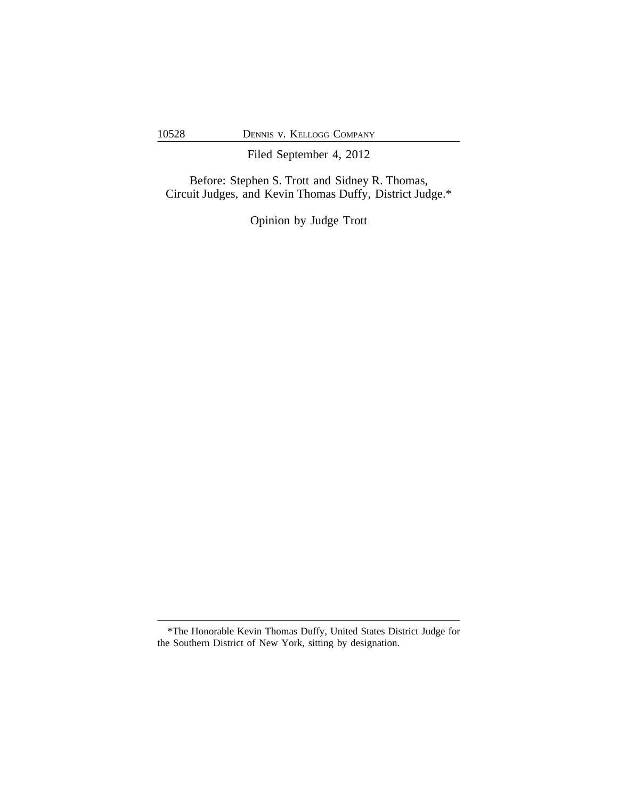Filed September 4, 2012

Before: Stephen S. Trott and Sidney R. Thomas, Circuit Judges, and Kevin Thomas Duffy, District Judge.\*

Opinion by Judge Trott

<sup>\*</sup>The Honorable Kevin Thomas Duffy, United States District Judge for the Southern District of New York, sitting by designation.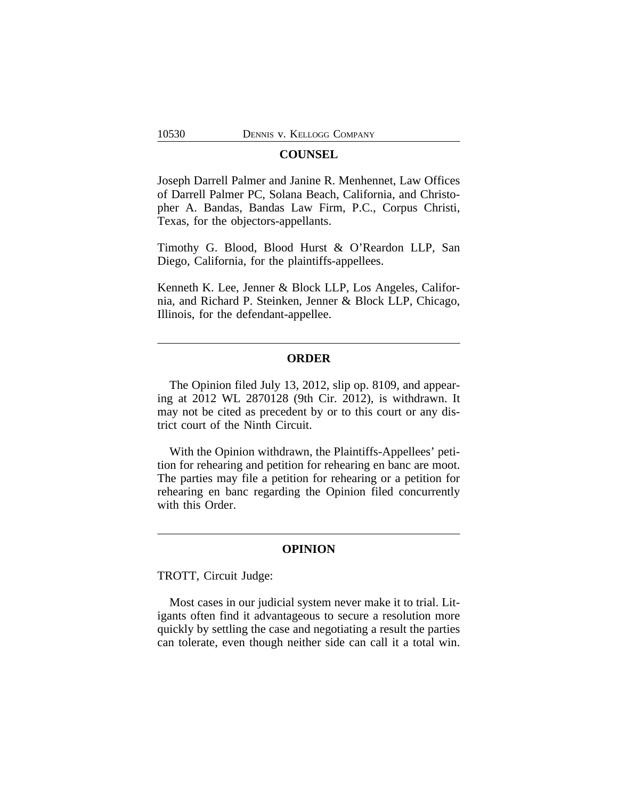#### **COUNSEL**

Joseph Darrell Palmer and Janine R. Menhennet, Law Offices of Darrell Palmer PC, Solana Beach, California, and Christopher A. Bandas, Bandas Law Firm, P.C., Corpus Christi, Texas, for the objectors-appellants.

Timothy G. Blood, Blood Hurst & O'Reardon LLP, San Diego, California, for the plaintiffs-appellees.

Kenneth K. Lee, Jenner & Block LLP, Los Angeles, California, and Richard P. Steinken, Jenner & Block LLP, Chicago, Illinois, for the defendant-appellee.

#### **ORDER**

The Opinion filed July 13, 2012, slip op. 8109, and appearing at 2012 WL 2870128 (9th Cir. 2012), is withdrawn. It may not be cited as precedent by or to this court or any district court of the Ninth Circuit.

With the Opinion withdrawn, the Plaintiffs-Appellees' petition for rehearing and petition for rehearing en banc are moot. The parties may file a petition for rehearing or a petition for rehearing en banc regarding the Opinion filed concurrently with this Order.

### **OPINION**

TROTT, Circuit Judge:

Most cases in our judicial system never make it to trial. Litigants often find it advantageous to secure a resolution more quickly by settling the case and negotiating a result the parties can tolerate, even though neither side can call it a total win.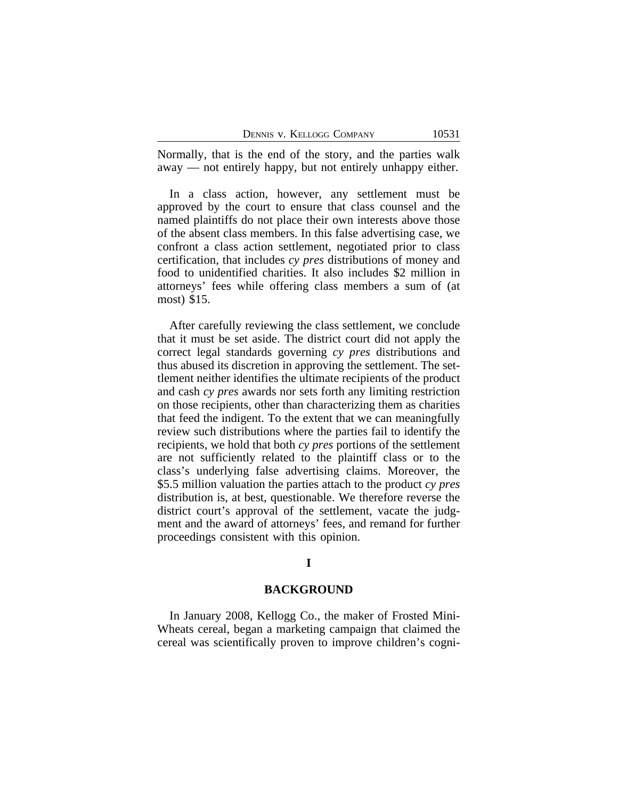Normally, that is the end of the story, and the parties walk away — not entirely happy, but not entirely unhappy either.

In a class action, however, any settlement must be approved by the court to ensure that class counsel and the named plaintiffs do not place their own interests above those of the absent class members. In this false advertising case, we confront a class action settlement, negotiated prior to class certification, that includes *cy pres* distributions of money and food to unidentified charities. It also includes \$2 million in attorneys' fees while offering class members a sum of (at most) \$15.

After carefully reviewing the class settlement, we conclude that it must be set aside. The district court did not apply the correct legal standards governing *cy pres* distributions and thus abused its discretion in approving the settlement. The settlement neither identifies the ultimate recipients of the product and cash *cy pres* awards nor sets forth any limiting restriction on those recipients, other than characterizing them as charities that feed the indigent. To the extent that we can meaningfully review such distributions where the parties fail to identify the recipients, we hold that both *cy pres* portions of the settlement are not sufficiently related to the plaintiff class or to the class's underlying false advertising claims. Moreover, the \$5.5 million valuation the parties attach to the product *cy pres* distribution is, at best, questionable. We therefore reverse the district court's approval of the settlement, vacate the judgment and the award of attorneys' fees, and remand for further proceedings consistent with this opinion.

#### **I**

#### **BACKGROUND**

In January 2008, Kellogg Co., the maker of Frosted Mini-Wheats cereal, began a marketing campaign that claimed the cereal was scientifically proven to improve children's cogni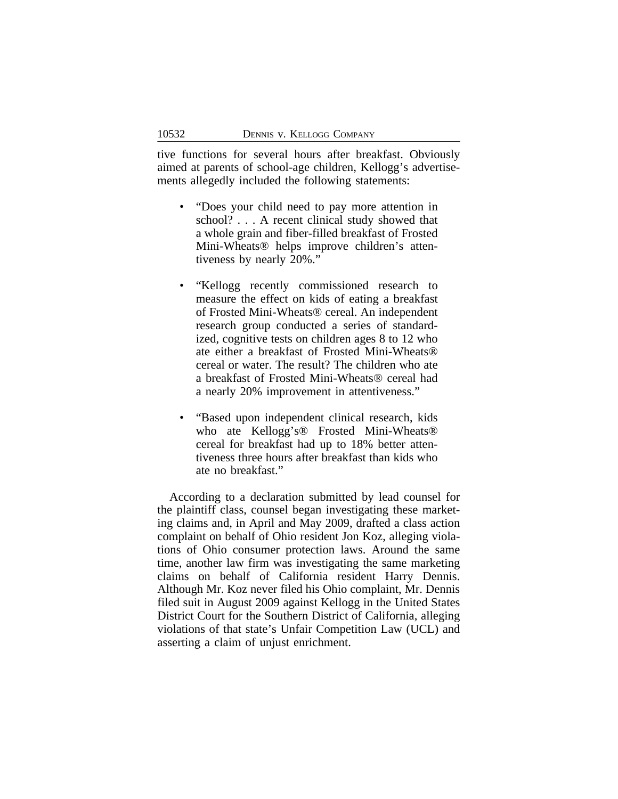tive functions for several hours after breakfast. Obviously aimed at parents of school-age children, Kellogg's advertisements allegedly included the following statements:

- "Does your child need to pay more attention in school? . . . A recent clinical study showed that a whole grain and fiber-filled breakfast of Frosted Mini-Wheats® helps improve children's attentiveness by nearly 20%."
- "Kellogg recently commissioned research to measure the effect on kids of eating a breakfast of Frosted Mini-Wheats® cereal. An independent research group conducted a series of standardized, cognitive tests on children ages 8 to 12 who ate either a breakfast of Frosted Mini-Wheats® cereal or water. The result? The children who ate a breakfast of Frosted Mini-Wheats® cereal had a nearly 20% improvement in attentiveness."
- "Based upon independent clinical research, kids who ate Kellogg's® Frosted Mini-Wheats® cereal for breakfast had up to 18% better attentiveness three hours after breakfast than kids who ate no breakfast."

According to a declaration submitted by lead counsel for the plaintiff class, counsel began investigating these marketing claims and, in April and May 2009, drafted a class action complaint on behalf of Ohio resident Jon Koz, alleging violations of Ohio consumer protection laws. Around the same time, another law firm was investigating the same marketing claims on behalf of California resident Harry Dennis. Although Mr. Koz never filed his Ohio complaint, Mr. Dennis filed suit in August 2009 against Kellogg in the United States District Court for the Southern District of California, alleging violations of that state's Unfair Competition Law (UCL) and asserting a claim of unjust enrichment.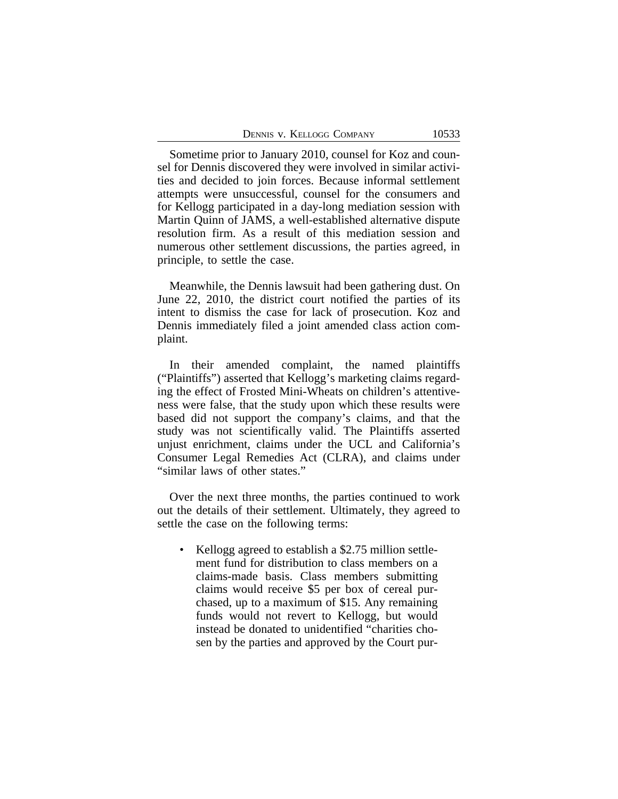|  | DENNIS V. KELLOGG COMPANY |  |
|--|---------------------------|--|
|--|---------------------------|--|

Sometime prior to January 2010, counsel for Koz and counsel for Dennis discovered they were involved in similar activities and decided to join forces. Because informal settlement attempts were unsuccessful, counsel for the consumers and for Kellogg participated in a day-long mediation session with Martin Quinn of JAMS, a well-established alternative dispute resolution firm. As a result of this mediation session and numerous other settlement discussions, the parties agreed, in principle, to settle the case.

Meanwhile, the Dennis lawsuit had been gathering dust. On June 22, 2010, the district court notified the parties of its intent to dismiss the case for lack of prosecution. Koz and Dennis immediately filed a joint amended class action complaint.

In their amended complaint, the named plaintiffs ("Plaintiffs") asserted that Kellogg's marketing claims regarding the effect of Frosted Mini-Wheats on children's attentiveness were false, that the study upon which these results were based did not support the company's claims, and that the study was not scientifically valid. The Plaintiffs asserted unjust enrichment, claims under the UCL and California's Consumer Legal Remedies Act (CLRA), and claims under "similar laws of other states."

Over the next three months, the parties continued to work out the details of their settlement. Ultimately, they agreed to settle the case on the following terms:

• Kellogg agreed to establish a \$2.75 million settlement fund for distribution to class members on a claims-made basis. Class members submitting claims would receive \$5 per box of cereal purchased, up to a maximum of \$15. Any remaining funds would not revert to Kellogg, but would instead be donated to unidentified "charities chosen by the parties and approved by the Court pur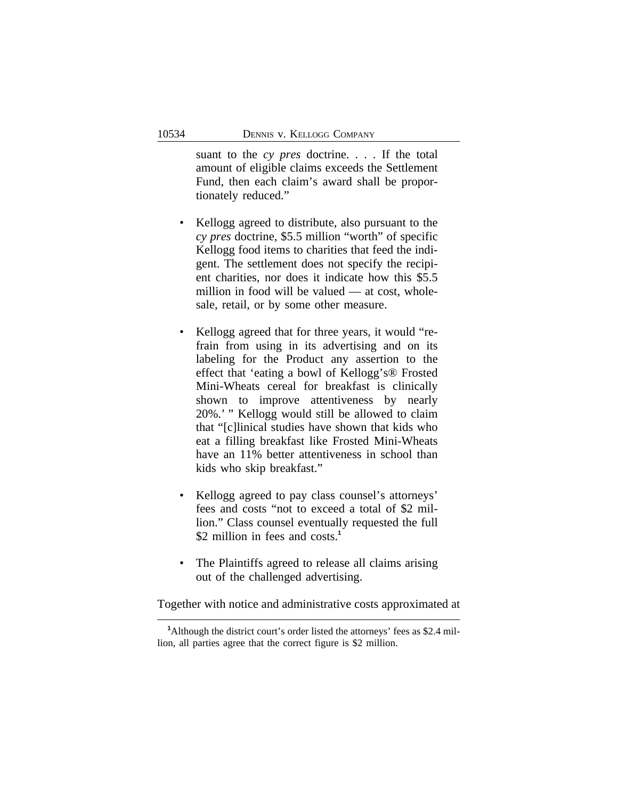suant to the *cy pres* doctrine. . . . If the total amount of eligible claims exceeds the Settlement Fund, then each claim's award shall be proportionately reduced."

- Kellogg agreed to distribute, also pursuant to the *cy pres* doctrine, \$5.5 million "worth" of specific Kellogg food items to charities that feed the indigent. The settlement does not specify the recipient charities, nor does it indicate how this \$5.5 million in food will be valued — at cost, wholesale, retail, or by some other measure.
- Kellogg agreed that for three years, it would "refrain from using in its advertising and on its labeling for the Product any assertion to the effect that 'eating a bowl of Kellogg's® Frosted Mini-Wheats cereal for breakfast is clinically shown to improve attentiveness by nearly 20%.' " Kellogg would still be allowed to claim that "[c]linical studies have shown that kids who eat a filling breakfast like Frosted Mini-Wheats have an 11% better attentiveness in school than kids who skip breakfast."
- Kellogg agreed to pay class counsel's attorneys' fees and costs "not to exceed a total of \$2 million." Class counsel eventually requested the full \$2 million in fees and costs.<sup>1</sup>
- The Plaintiffs agreed to release all claims arising out of the challenged advertising.

Together with notice and administrative costs approximated at

**<sup>1</sup>**Although the district court's order listed the attorneys' fees as \$2.4 million, all parties agree that the correct figure is \$2 million.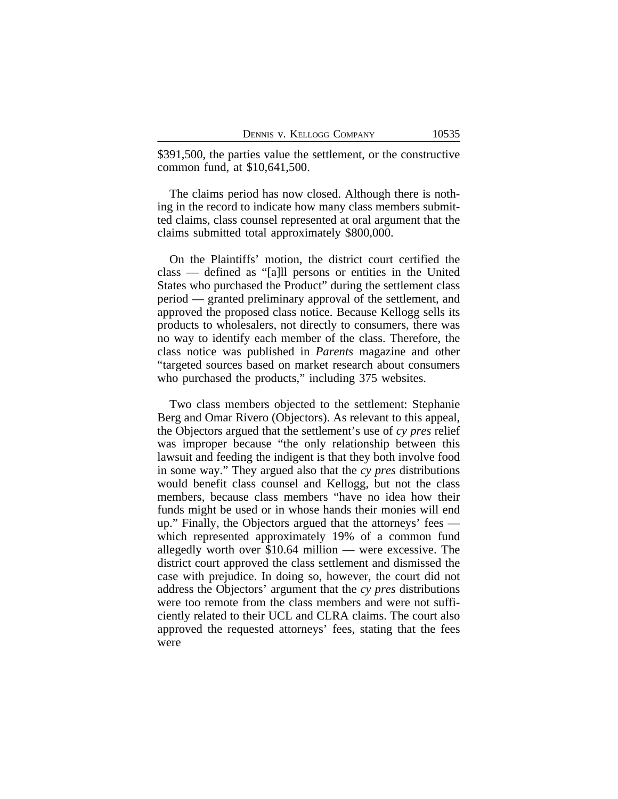\$391,500, the parties value the settlement, or the constructive common fund, at \$10,641,500.

The claims period has now closed. Although there is nothing in the record to indicate how many class members submitted claims, class counsel represented at oral argument that the claims submitted total approximately \$800,000.

On the Plaintiffs' motion, the district court certified the class — defined as "[a]ll persons or entities in the United States who purchased the Product" during the settlement class period — granted preliminary approval of the settlement, and approved the proposed class notice. Because Kellogg sells its products to wholesalers, not directly to consumers, there was no way to identify each member of the class. Therefore, the class notice was published in *Parents* magazine and other "targeted sources based on market research about consumers who purchased the products," including  $375$  websites.

Two class members objected to the settlement: Stephanie Berg and Omar Rivero (Objectors). As relevant to this appeal, the Objectors argued that the settlement's use of *cy pres* relief was improper because "the only relationship between this lawsuit and feeding the indigent is that they both involve food in some way." They argued also that the *cy pres* distributions would benefit class counsel and Kellogg, but not the class members, because class members "have no idea how their funds might be used or in whose hands their monies will end up." Finally, the Objectors argued that the attorneys' fees which represented approximately 19% of a common fund allegedly worth over \$10.64 million — were excessive. The district court approved the class settlement and dismissed the case with prejudice. In doing so, however, the court did not address the Objectors' argument that the *cy pres* distributions were too remote from the class members and were not sufficiently related to their UCL and CLRA claims. The court also approved the requested attorneys' fees, stating that the fees were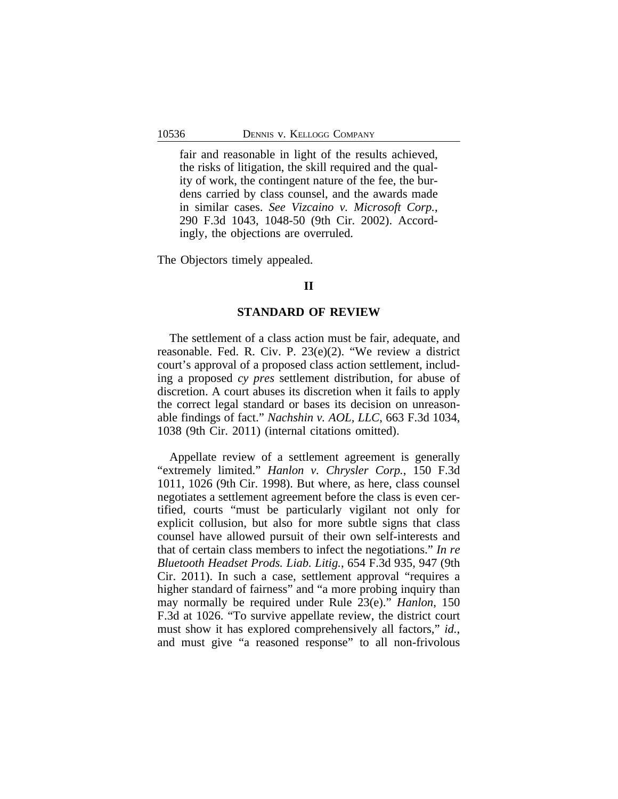fair and reasonable in light of the results achieved, the risks of litigation, the skill required and the quality of work, the contingent nature of the fee, the burdens carried by class counsel, and the awards made in similar cases. *See Vizcaino v. Microsoft Corp.*, 290 F.3d 1043, 1048-50 (9th Cir. 2002). Accordingly, the objections are overruled.

The Objectors timely appealed.

#### **II**

#### **STANDARD OF REVIEW**

The settlement of a class action must be fair, adequate, and reasonable. Fed. R. Civ. P. 23(e)(2). "We review a district court's approval of a proposed class action settlement, including a proposed *cy pres* settlement distribution, for abuse of discretion. A court abuses its discretion when it fails to apply the correct legal standard or bases its decision on unreasonable findings of fact." *Nachshin v. AOL, LLC*, 663 F.3d 1034, 1038 (9th Cir. 2011) (internal citations omitted).

Appellate review of a settlement agreement is generally "extremely limited." *Hanlon v. Chrysler Corp.*, 150 F.3d 1011, 1026 (9th Cir. 1998). But where, as here, class counsel negotiates a settlement agreement before the class is even certified, courts "must be particularly vigilant not only for explicit collusion, but also for more subtle signs that class counsel have allowed pursuit of their own self-interests and that of certain class members to infect the negotiations." *In re Bluetooth Headset Prods. Liab. Litig.*, 654 F.3d 935, 947 (9th Cir. 2011). In such a case, settlement approval "requires a higher standard of fairness" and "a more probing inquiry than may normally be required under Rule 23(e)." *Hanlon*, 150 F.3d at 1026. "To survive appellate review, the district court must show it has explored comprehensively all factors," *id.*, and must give "a reasoned response" to all non-frivolous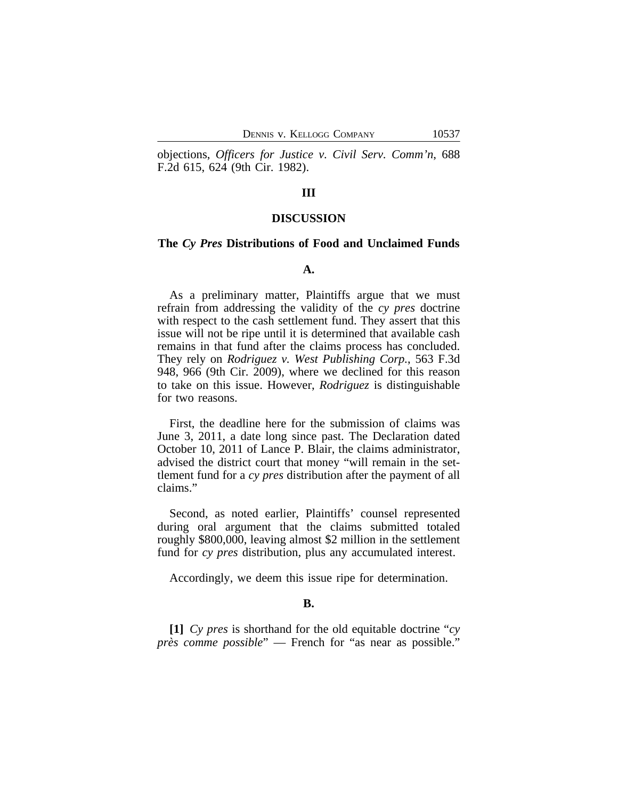objections, *Officers for Justice v. Civil Serv. Comm'n*, 688 F.2d 615, 624 (9th Cir. 1982).

#### **III**

#### **DISCUSSION**

#### **The** *Cy Pres* **Distributions of Food and Unclaimed Funds**

#### **A.**

As a preliminary matter, Plaintiffs argue that we must refrain from addressing the validity of the *cy pres* doctrine with respect to the cash settlement fund. They assert that this issue will not be ripe until it is determined that available cash remains in that fund after the claims process has concluded. They rely on *Rodriguez v. West Publishing Corp.*, 563 F.3d 948, 966 (9th Cir. 2009), where we declined for this reason to take on this issue. However, *Rodriguez* is distinguishable for two reasons.

First, the deadline here for the submission of claims was June 3, 2011, a date long since past. The Declaration dated October 10, 2011 of Lance P. Blair, the claims administrator, advised the district court that money "will remain in the settlement fund for a *cy pres* distribution after the payment of all claims."

Second, as noted earlier, Plaintiffs' counsel represented during oral argument that the claims submitted totaled roughly \$800,000, leaving almost \$2 million in the settlement fund for *cy pres* distribution, plus any accumulated interest.

Accordingly, we deem this issue ripe for determination.

#### **B.**

**[1]** *Cy pres* is shorthand for the old equitable doctrine "*cy près comme possible*" — French for "as near as possible."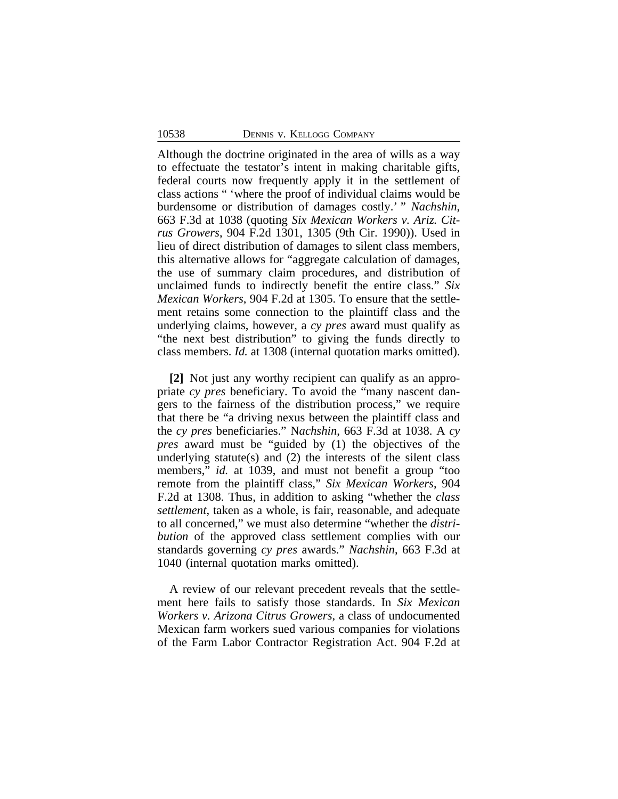Although the doctrine originated in the area of wills as a way to effectuate the testator's intent in making charitable gifts, federal courts now frequently apply it in the settlement of class actions " 'where the proof of individual claims would be burdensome or distribution of damages costly.' " *Nachshin*, 663 F.3d at 1038 (quoting *Six Mexican Workers v. Ariz. Citrus Growers*, 904 F.2d 1301, 1305 (9th Cir. 1990)). Used in lieu of direct distribution of damages to silent class members, this alternative allows for "aggregate calculation of damages, the use of summary claim procedures, and distribution of unclaimed funds to indirectly benefit the entire class." *Six Mexican Workers*, 904 F.2d at 1305. To ensure that the settlement retains some connection to the plaintiff class and the underlying claims, however, a *cy pres* award must qualify as "the next best distribution" to giving the funds directly to class members. *Id.* at 1308 (internal quotation marks omitted).

**[2]** Not just any worthy recipient can qualify as an appropriate *cy pres* beneficiary. To avoid the "many nascent dangers to the fairness of the distribution process," we require that there be "a driving nexus between the plaintiff class and the *cy pres* beneficiaries." N*achshin*, 663 F.3d at 1038. A *cy pres* award must be "guided by (1) the objectives of the underlying statute(s) and (2) the interests of the silent class members," *id.* at 1039, and must not benefit a group "too remote from the plaintiff class," *Six Mexican Workers*, 904 F.2d at 1308. Thus, in addition to asking "whether the *class settlement*, taken as a whole, is fair, reasonable, and adequate to all concerned," we must also determine "whether the *distribution* of the approved class settlement complies with our standards governing *cy pres* awards." *Nachshin*, 663 F.3d at 1040 (internal quotation marks omitted).

A review of our relevant precedent reveals that the settlement here fails to satisfy those standards. In *Six Mexican Workers v. Arizona Citrus Growers*, a class of undocumented Mexican farm workers sued various companies for violations of the Farm Labor Contractor Registration Act. 904 F.2d at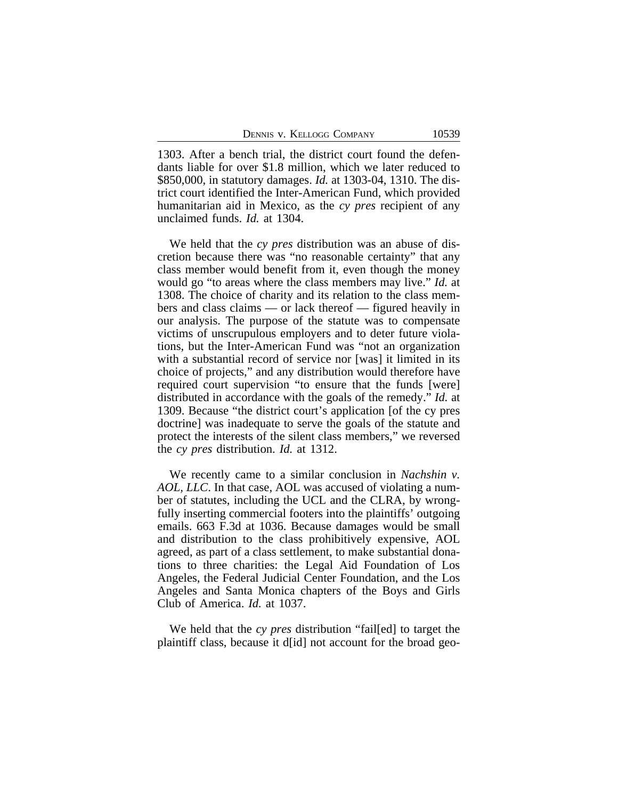1303. After a bench trial, the district court found the defendants liable for over \$1.8 million, which we later reduced to \$850,000, in statutory damages. *Id.* at 1303-04, 1310. The district court identified the Inter-American Fund, which provided humanitarian aid in Mexico, as the *cy pres* recipient of any unclaimed funds. *Id.* at 1304.

We held that the *cy pres* distribution was an abuse of discretion because there was "no reasonable certainty" that any class member would benefit from it, even though the money would go "to areas where the class members may live." *Id.* at 1308. The choice of charity and its relation to the class members and class claims — or lack thereof — figured heavily in our analysis. The purpose of the statute was to compensate victims of unscrupulous employers and to deter future violations, but the Inter-American Fund was "not an organization with a substantial record of service nor [was] it limited in its choice of projects," and any distribution would therefore have required court supervision "to ensure that the funds [were] distributed in accordance with the goals of the remedy." *Id.* at 1309. Because "the district court's application [of the cy pres doctrine] was inadequate to serve the goals of the statute and protect the interests of the silent class members," we reversed the *cy pres* distribution. *Id.* at 1312.

We recently came to a similar conclusion in *Nachshin v. AOL, LLC*. In that case, AOL was accused of violating a number of statutes, including the UCL and the CLRA, by wrongfully inserting commercial footers into the plaintiffs' outgoing emails. 663 F.3d at 1036. Because damages would be small and distribution to the class prohibitively expensive, AOL agreed, as part of a class settlement, to make substantial donations to three charities: the Legal Aid Foundation of Los Angeles, the Federal Judicial Center Foundation, and the Los Angeles and Santa Monica chapters of the Boys and Girls Club of America. *Id.* at 1037.

We held that the *cy pres* distribution "fail[ed] to target the plaintiff class, because it d[id] not account for the broad geo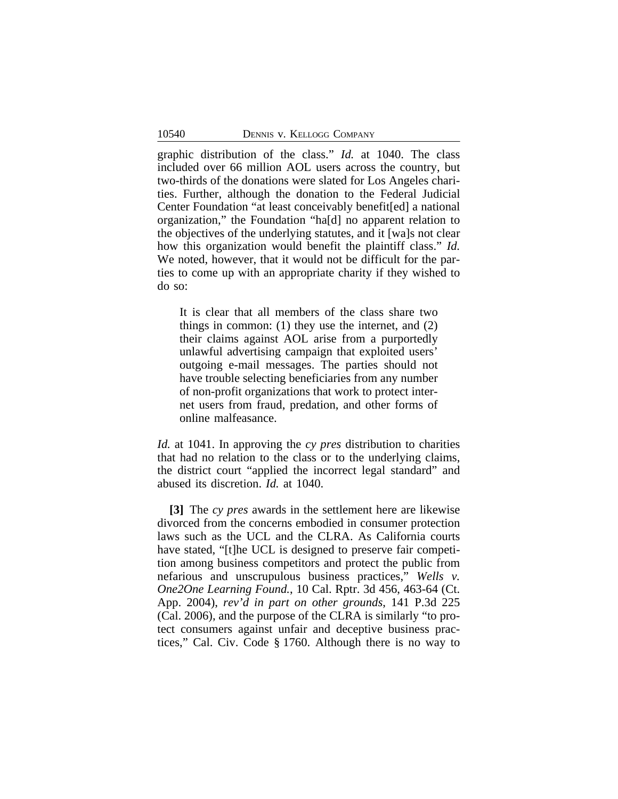graphic distribution of the class." *Id.* at 1040. The class included over 66 million AOL users across the country, but two-thirds of the donations were slated for Los Angeles charities. Further, although the donation to the Federal Judicial Center Foundation "at least conceivably benefit[ed] a national organization," the Foundation "ha[d] no apparent relation to the objectives of the underlying statutes, and it [wa]s not clear how this organization would benefit the plaintiff class." *Id.* We noted, however, that it would not be difficult for the parties to come up with an appropriate charity if they wished to do so:

It is clear that all members of the class share two things in common: (1) they use the internet, and (2) their claims against AOL arise from a purportedly unlawful advertising campaign that exploited users' outgoing e-mail messages. The parties should not have trouble selecting beneficiaries from any number of non-profit organizations that work to protect internet users from fraud, predation, and other forms of online malfeasance.

*Id.* at 1041. In approving the *cy pres* distribution to charities that had no relation to the class or to the underlying claims, the district court "applied the incorrect legal standard" and abused its discretion. *Id.* at 1040.

**[3]** The *cy pres* awards in the settlement here are likewise divorced from the concerns embodied in consumer protection laws such as the UCL and the CLRA. As California courts have stated, "[t]he UCL is designed to preserve fair competition among business competitors and protect the public from nefarious and unscrupulous business practices," *Wells v. One2One Learning Found.*, 10 Cal. Rptr. 3d 456, 463-64 (Ct. App. 2004), *rev'd in part on other grounds*, 141 P.3d 225 (Cal. 2006), and the purpose of the CLRA is similarly "to protect consumers against unfair and deceptive business practices," Cal. Civ. Code § 1760. Although there is no way to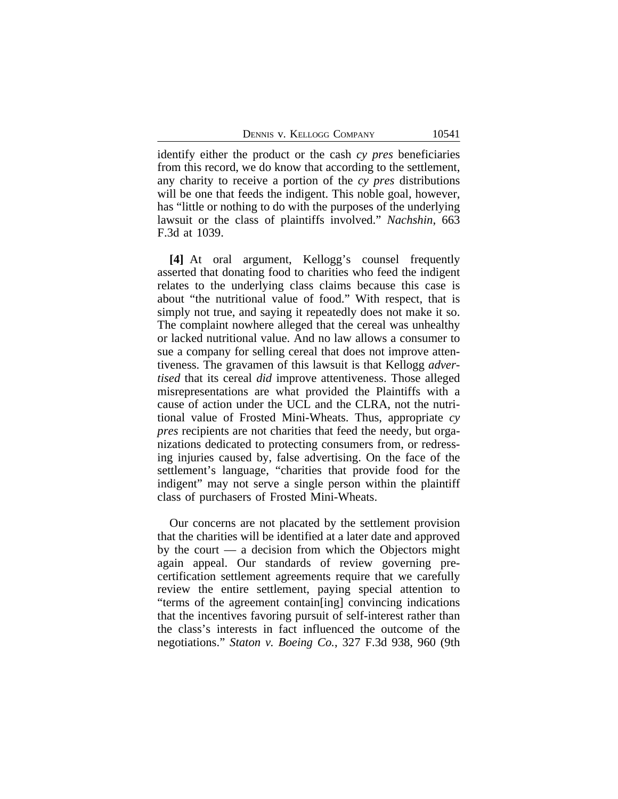identify either the product or the cash *cy pres* beneficiaries from this record, we do know that according to the settlement, any charity to receive a portion of the *cy pres* distributions will be one that feeds the indigent. This noble goal, however, has "little or nothing to do with the purposes of the underlying lawsuit or the class of plaintiffs involved." *Nachshin*, 663 F.3d at 1039.

**[4]** At oral argument, Kellogg's counsel frequently asserted that donating food to charities who feed the indigent relates to the underlying class claims because this case is about "the nutritional value of food." With respect, that is simply not true, and saying it repeatedly does not make it so. The complaint nowhere alleged that the cereal was unhealthy or lacked nutritional value. And no law allows a consumer to sue a company for selling cereal that does not improve attentiveness. The gravamen of this lawsuit is that Kellogg *advertised* that its cereal *did* improve attentiveness. Those alleged misrepresentations are what provided the Plaintiffs with a cause of action under the UCL and the CLRA, not the nutritional value of Frosted Mini-Wheats. Thus, appropriate *cy pres* recipients are not charities that feed the needy, but organizations dedicated to protecting consumers from, or redressing injuries caused by, false advertising. On the face of the settlement's language, "charities that provide food for the indigent" may not serve a single person within the plaintiff class of purchasers of Frosted Mini-Wheats.

Our concerns are not placated by the settlement provision that the charities will be identified at a later date and approved by the court — a decision from which the Objectors might again appeal. Our standards of review governing precertification settlement agreements require that we carefully review the entire settlement, paying special attention to "terms of the agreement contain[ing] convincing indications that the incentives favoring pursuit of self-interest rather than the class's interests in fact influenced the outcome of the negotiations." *Staton v. Boeing Co.*, 327 F.3d 938, 960 (9th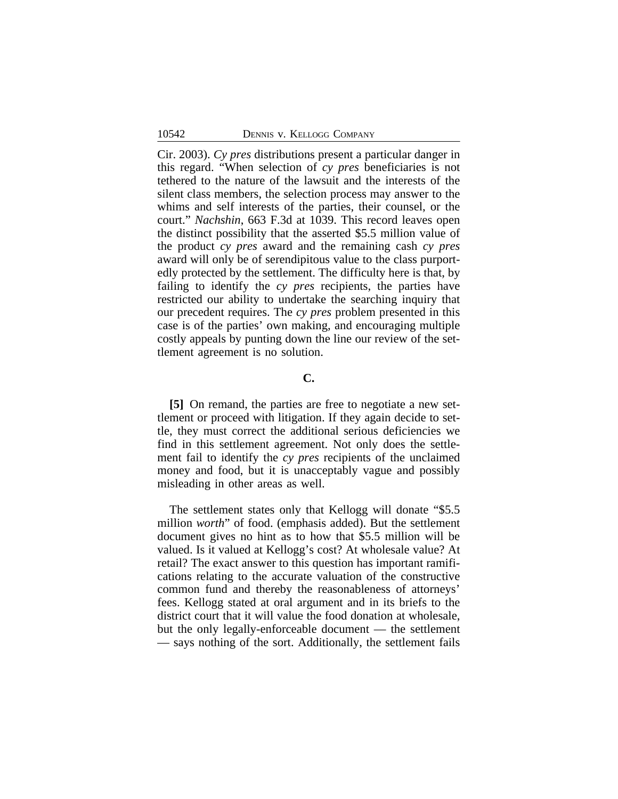Cir. 2003). *Cy pres* distributions present a particular danger in this regard. "When selection of *cy pres* beneficiaries is not tethered to the nature of the lawsuit and the interests of the silent class members, the selection process may answer to the whims and self interests of the parties, their counsel, or the court." *Nachshin*, 663 F.3d at 1039. This record leaves open the distinct possibility that the asserted \$5.5 million value of the product *cy pres* award and the remaining cash *cy pres* award will only be of serendipitous value to the class purportedly protected by the settlement. The difficulty here is that, by failing to identify the *cy pres* recipients, the parties have restricted our ability to undertake the searching inquiry that our precedent requires. The *cy pres* problem presented in this case is of the parties' own making, and encouraging multiple costly appeals by punting down the line our review of the settlement agreement is no solution.

#### **C.**

**[5]** On remand, the parties are free to negotiate a new settlement or proceed with litigation. If they again decide to settle, they must correct the additional serious deficiencies we find in this settlement agreement. Not only does the settlement fail to identify the *cy pres* recipients of the unclaimed money and food, but it is unacceptably vague and possibly misleading in other areas as well.

The settlement states only that Kellogg will donate "\$5.5" million *worth*" of food. (emphasis added). But the settlement document gives no hint as to how that \$5.5 million will be valued. Is it valued at Kellogg's cost? At wholesale value? At retail? The exact answer to this question has important ramifications relating to the accurate valuation of the constructive common fund and thereby the reasonableness of attorneys' fees. Kellogg stated at oral argument and in its briefs to the district court that it will value the food donation at wholesale, but the only legally-enforceable document — the settlement — says nothing of the sort. Additionally, the settlement fails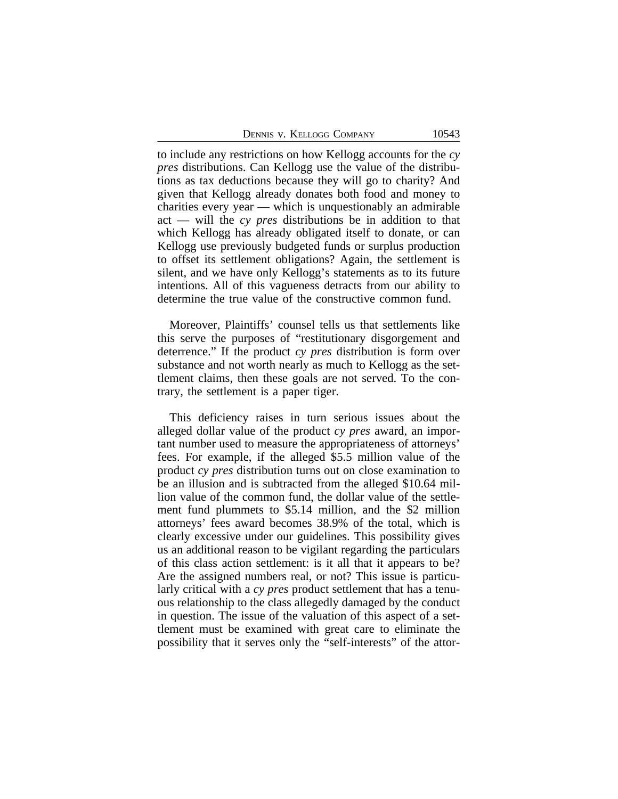|  | DENNIS V. KELLOGG COMPANY |  |
|--|---------------------------|--|
|--|---------------------------|--|

to include any restrictions on how Kellogg accounts for the *cy pres* distributions. Can Kellogg use the value of the distributions as tax deductions because they will go to charity? And given that Kellogg already donates both food and money to charities every year — which is unquestionably an admirable act — will the *cy pres* distributions be in addition to that which Kellogg has already obligated itself to donate, or can Kellogg use previously budgeted funds or surplus production to offset its settlement obligations? Again, the settlement is silent, and we have only Kellogg's statements as to its future intentions. All of this vagueness detracts from our ability to determine the true value of the constructive common fund.

Moreover, Plaintiffs' counsel tells us that settlements like this serve the purposes of "restitutionary disgorgement and deterrence." If the product *cy pres* distribution is form over substance and not worth nearly as much to Kellogg as the settlement claims, then these goals are not served. To the contrary, the settlement is a paper tiger.

This deficiency raises in turn serious issues about the alleged dollar value of the product *cy pres* award, an important number used to measure the appropriateness of attorneys' fees. For example, if the alleged \$5.5 million value of the product *cy pres* distribution turns out on close examination to be an illusion and is subtracted from the alleged \$10.64 million value of the common fund, the dollar value of the settlement fund plummets to \$5.14 million, and the \$2 million attorneys' fees award becomes 38.9% of the total, which is clearly excessive under our guidelines. This possibility gives us an additional reason to be vigilant regarding the particulars of this class action settlement: is it all that it appears to be? Are the assigned numbers real, or not? This issue is particularly critical with a *cy pres* product settlement that has a tenuous relationship to the class allegedly damaged by the conduct in question. The issue of the valuation of this aspect of a settlement must be examined with great care to eliminate the possibility that it serves only the "self-interests" of the attor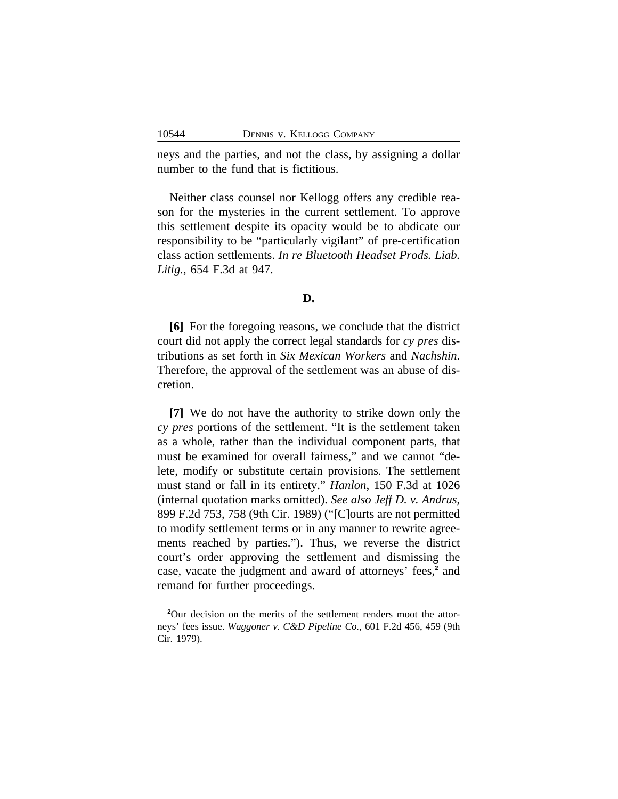neys and the parties, and not the class, by assigning a dollar number to the fund that is fictitious.

Neither class counsel nor Kellogg offers any credible reason for the mysteries in the current settlement. To approve this settlement despite its opacity would be to abdicate our responsibility to be "particularly vigilant" of pre-certification class action settlements. *In re Bluetooth Headset Prods. Liab. Litig.*, 654 F.3d at 947.

#### **D.**

**[6]** For the foregoing reasons, we conclude that the district court did not apply the correct legal standards for *cy pres* distributions as set forth in *Six Mexican Workers* and *Nachshin*. Therefore, the approval of the settlement was an abuse of discretion.

**[7]** We do not have the authority to strike down only the *cy pres* portions of the settlement. "It is the settlement taken as a whole, rather than the individual component parts, that must be examined for overall fairness," and we cannot "delete, modify or substitute certain provisions. The settlement must stand or fall in its entirety." *Hanlon*, 150 F.3d at 1026 (internal quotation marks omitted). *See also Jeff D. v. Andrus*, 899 F.2d 753, 758 (9th Cir. 1989) ("[C]ourts are not permitted to modify settlement terms or in any manner to rewrite agreements reached by parties."). Thus, we reverse the district court's order approving the settlement and dismissing the case, vacate the judgment and award of attorneys' fees,**<sup>2</sup>** and remand for further proceedings.

<sup>&</sup>lt;sup>2</sup>Our decision on the merits of the settlement renders moot the attorneys' fees issue. *Waggoner v. C&D Pipeline Co.*, 601 F.2d 456, 459 (9th Cir. 1979).